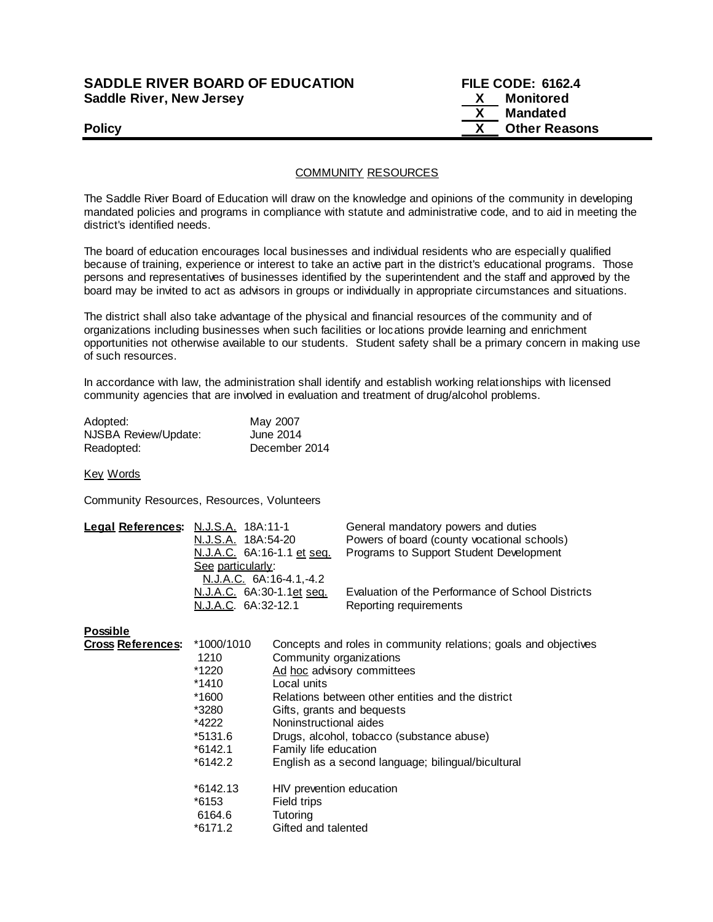## **SADDLE RIVER BOARD OF EDUCATION FILE CODE: 6162.4 Saddle River, New Jersey X Monitored**

 **X Mandated Policy COLLEGENS Policy COLLEGENS COLLEGENS COLLEGENS X** Other Reasons

## COMMUNITY RESOURCES

The Saddle River Board of Education will draw on the knowledge and opinions of the community in developing mandated policies and programs in compliance with statute and administrative code, and to aid in meeting the district's identified needs.

The board of education encourages local businesses and individual residents who are especially qualified because of training, experience or interest to take an active part in the district's educational programs. Those persons and representatives of businesses identified by the superintendent and the staff and approved by the board may be invited to act as advisors in groups or individually in appropriate circumstances and situations.

The district shall also take advantage of the physical and financial resources of the community and of organizations including businesses when such facilities or locations provide learning and enrichment opportunities not otherwise available to our students. Student safety shall be a primary concern in making use of such resources.

In accordance with law, the administration shall identify and establish working relationships with licensed community agencies that are involved in evaluation and treatment of drug/alcohol problems.

| Adopted:             | May 2007      |
|----------------------|---------------|
| NJSBA Review/Update: | June 2014     |
| Readopted:           | December 2014 |

Key Words

Community Resources, Resources, Volunteers

| Legal References: N.J.S.A. 18A:11-1 |                                          | General mandatory powers and duties               |
|-------------------------------------|------------------------------------------|---------------------------------------------------|
|                                     | N.J.S.A. 18A:54-20                       | Powers of board (county vocational schools)       |
|                                     | N.J.A.C. 6A:16-1.1 et seq.               | Programs to Support Student Development           |
|                                     | See particularly:                        |                                                   |
|                                     | N.J.A.C. 6A:16-4.1,-4.2                  |                                                   |
|                                     | <u>N.J.A.C.</u> 6A:30-1.1 <u>et seq.</u> | Evaluation of the Performance of School Districts |
|                                     | N.J.A.C. 6A:32-12.1                      | Reporting requirements                            |
|                                     |                                          |                                                   |

**Possible**

| <b>Cross References:</b> | *1000/1010 | Concepts and roles in community relations; goals and objectives |
|--------------------------|------------|-----------------------------------------------------------------|
|                          | 1210       | Community organizations                                         |
|                          | *1220      | Ad hoc advisory committees                                      |
|                          | *1410      | Local units                                                     |
|                          | *1600      | Relations between other entities and the district               |
|                          | *3280      | Gifts, grants and bequests                                      |
|                          | *4222      | Noninstructional aides                                          |
|                          | *5131.6    | Drugs, alcohol, tobacco (substance abuse)                       |
|                          | $*6142.1$  | Family life education                                           |
|                          | $*6142.2$  | English as a second language; bilingual/bicultural              |
|                          | $*6142.13$ | HIV prevention education                                        |
|                          | *6153      | Field trips                                                     |
|                          | 6164.6     | <b>Tutoring</b>                                                 |
|                          | $*6171.2$  | Gifted and talented                                             |
|                          |            |                                                                 |